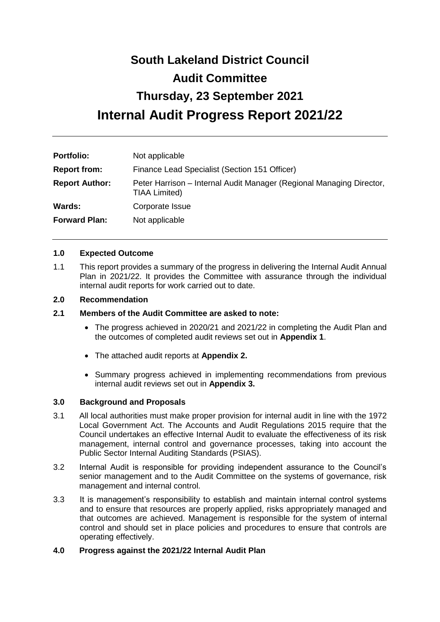# **South Lakeland District Council Audit Committee Thursday, 23 September 2021 Internal Audit Progress Report 2021/22**

| <b>Portfolio:</b>     | Not applicable                                                                        |  |
|-----------------------|---------------------------------------------------------------------------------------|--|
| <b>Report from:</b>   | Finance Lead Specialist (Section 151 Officer)                                         |  |
| <b>Report Author:</b> | Peter Harrison – Internal Audit Manager (Regional Managing Director,<br>TIAA Limited) |  |
| Wards:                | Corporate Issue                                                                       |  |
| <b>Forward Plan:</b>  | Not applicable                                                                        |  |

#### **1.0 Expected Outcome**

1.1 This report provides a summary of the progress in delivering the Internal Audit Annual Plan in 2021/22. It provides the Committee with assurance through the individual internal audit reports for work carried out to date.

## **2.0 Recommendation**

- **2.1 Members of the Audit Committee are asked to note:**
	- The progress achieved in 2020/21 and 2021/22 in completing the Audit Plan and the outcomes of completed audit reviews set out in **Appendix 1**.
	- The attached audit reports at **Appendix 2.**
	- Summary progress achieved in implementing recommendations from previous internal audit reviews set out in **Appendix 3.**

#### **3.0 Background and Proposals**

- 3.1 All local authorities must make proper provision for internal audit in line with the 1972 Local Government Act. The Accounts and Audit Regulations 2015 require that the Council undertakes an effective Internal Audit to evaluate the effectiveness of its risk management, internal control and governance processes, taking into account the Public Sector Internal Auditing Standards (PSIAS).
- 3.2 Internal Audit is responsible for providing independent assurance to the Council's senior management and to the Audit Committee on the systems of governance, risk management and internal control.
- 3.3 It is management's responsibility to establish and maintain internal control systems and to ensure that resources are properly applied, risks appropriately managed and that outcomes are achieved. Management is responsible for the system of internal control and should set in place policies and procedures to ensure that controls are operating effectively.

# **4.0 Progress against the 2021/22 Internal Audit Plan**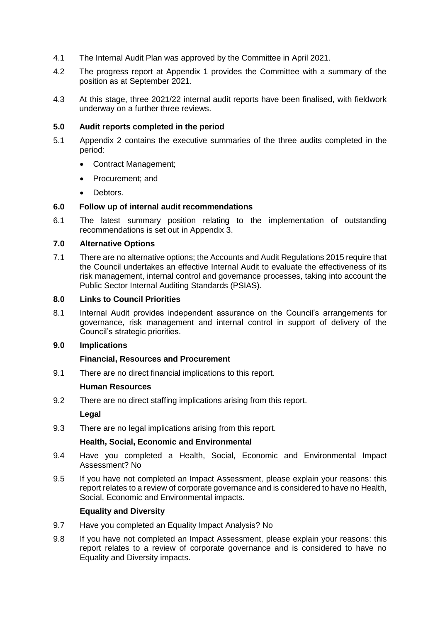- 4.1 The Internal Audit Plan was approved by the Committee in April 2021.
- 4.2 The progress report at Appendix 1 provides the Committee with a summary of the position as at September 2021.
- 4.3 At this stage, three 2021/22 internal audit reports have been finalised, with fieldwork underway on a further three reviews.

## **5.0 Audit reports completed in the period**

- 5.1 Appendix 2 contains the executive summaries of the three audits completed in the period:
	- Contract Management;
	- Procurement: and
	- **Debtors**

## **6.0 Follow up of internal audit recommendations**

6.1 The latest summary position relating to the implementation of outstanding recommendations is set out in Appendix 3.

#### **7.0 Alternative Options**

7.1 There are no alternative options; the Accounts and Audit Regulations 2015 require that the Council undertakes an effective Internal Audit to evaluate the effectiveness of its risk management, internal control and governance processes, taking into account the Public Sector Internal Auditing Standards (PSIAS).

#### **8.0 Links to Council Priorities**

8.1 Internal Audit provides independent assurance on the Council's arrangements for governance, risk management and internal control in support of delivery of the Council's strategic priorities.

## **9.0 Implications**

# **Financial, Resources and Procurement**

9.1 There are no direct financial implications to this report.

#### **Human Resources**

9.2 There are no direct staffing implications arising from this report.

**Legal**

9.3 There are no legal implications arising from this report.

#### **Health, Social, Economic and Environmental**

- 9.4 Have you completed a Health, Social, Economic and Environmental Impact Assessment? No
- 9.5 If you have not completed an Impact Assessment, please explain your reasons: this report relates to a review of corporate governance and is considered to have no Health, Social, Economic and Environmental impacts.

# **Equality and Diversity**

- 9.7 Have you completed an Equality Impact Analysis? No
- 9.8 If you have not completed an Impact Assessment, please explain your reasons: this report relates to a review of corporate governance and is considered to have no Equality and Diversity impacts.